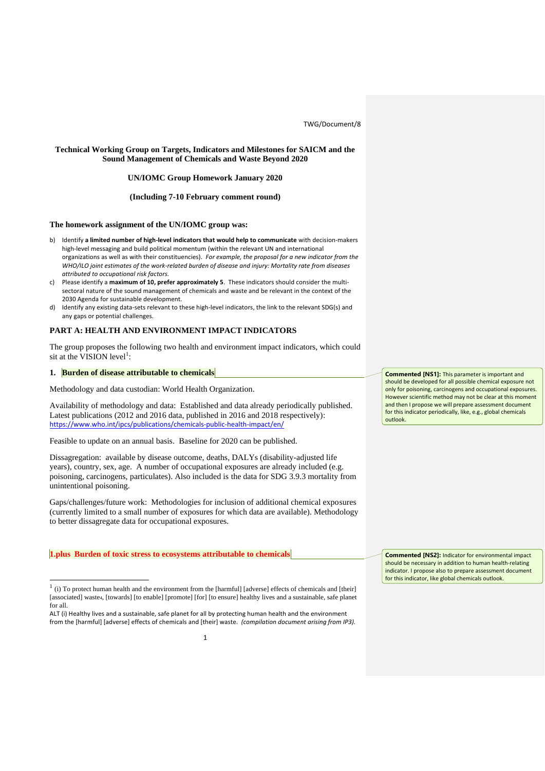TWG/Document/8

# **Technical Working Group on Targets, Indicators and Milestones for SAICM and the Sound Management of Chemicals and Waste Beyond 2020**

## **UN/IOMC Group Homework January 2020**

#### **(Including 7-10 February comment round)**

### **The homework assignment of the UN/IOMC group was:**

- b) Identify **a limited number of high-level indicators that would help to communicate** with decision-makers high-level messaging and build political momentum (within the relevant UN and international organizations as well as with their constituencies). *For example, the proposal for a new indicator from the WHO/ILO joint estimates of the work-related burden of disease and injury: Mortality rate from diseases attributed to occupational risk factors.*
- c) Please identify a **maximum of 10, prefer approximately 5**. These indicators should consider the multisectoral nature of the sound management of chemicals and waste and be relevant in the context of the 2030 Agenda for sustainable development.
- d) Identify any existing data-sets relevant to these high-level indicators, the link to the relevant SDG(s) and any gaps or potential challenges.

# **PART A: HEALTH AND ENVIRONMENT IMPACT INDICATORS**

The group proposes the following two health and environment impact indicators, which could sit at the VISION level<sup>1</sup>:

#### **1. Burden of disease attributable to chemicals**

Methodology and data custodian: World Health Organization.

Availability of methodology and data: Established and data already periodically published. Latest publications (2012 and 2016 data, published in 2016 and 2018 respectively): <https://www.who.int/ipcs/publications/chemicals-public-health-impact/en/>

Feasible to update on an annual basis. Baseline for 2020 can be published.

Dissagregation: available by disease outcome, deaths, DALYs (disability-adjusted life years), country, sex, age. A number of occupational exposures are already included (e.g. poisoning, carcinogens, particulates). Also included is the data for SDG 3.9.3 mortality from unintentional poisoning.

Gaps/challenges/future work: Methodologies for inclusion of additional chemical exposures (currently limited to a small number of exposures for which data are available). Methodology to better dissagregate data for occupational exposures.

### **1.plus Burden of toxic stress to ecosystems attributable to chemicals**

1

**Commented [NS1]:** This parameter is important and should be developed for all possible chemical exposure not only for poisoning, carcinogens and occupational exposures. However scientific method may not be clear at this moment and then I propose we will prepare assessment document for this indicator periodically, like, e.g., global chemicals outlook.

**Commented [NS2]:** Indicator for environmental impact should be necessary in addition to human health-relating indicator. I propose also to prepare assessment document for this indicator, like global chemicals outlook.

 $<sup>1</sup>$  (i) To protect human health and the environment from the [harmful] [adverse] effects of chemicals and [their]</sup> [associated] waste4, [towards] [to enable] [promote] [for] [to ensure] healthy lives and a sustainable, safe planet for all.

ALT (i) Healthy lives and a sustainable, safe planet for all by protecting human health and the environment from the [harmful] [adverse] effects of chemicals and [their] waste. *(compilation document arising from IP3).*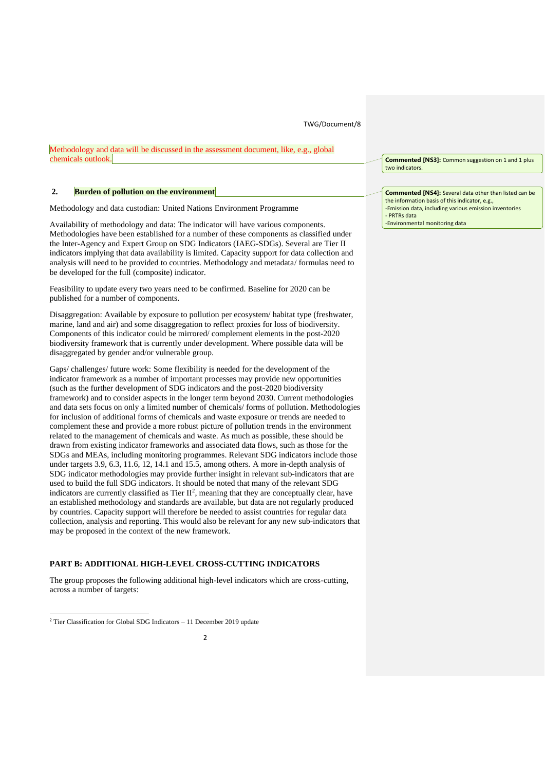#### TWG/Document/8

Methodology and data will be discussed in the assessment document, like, e.g., global chemicals outlook.

### **2. Burden of pollution on the environment**

Methodology and data custodian: United Nations Environment Programme

Availability of methodology and data: The indicator will have various components. Methodologies have been established for a number of these components as classified under the Inter-Agency and Expert Group on SDG Indicators (IAEG-SDGs). Several are Tier II indicators implying that data availability is limited. Capacity support for data collection and analysis will need to be provided to countries. Methodology and metadata/ formulas need to be developed for the full (composite) indicator.

Feasibility to update every two years need to be confirmed. Baseline for 2020 can be published for a number of components.

Disaggregation: Available by exposure to pollution per ecosystem/ habitat type (freshwater, marine, land and air) and some disaggregation to reflect proxies for loss of biodiversity. Components of this indicator could be mirrored/ complement elements in the post-2020 biodiversity framework that is currently under development. Where possible data will be disaggregated by gender and/or vulnerable group.

Gaps/ challenges/ future work: Some flexibility is needed for the development of the indicator framework as a number of important processes may provide new opportunities (such as the further development of SDG indicators and the post-2020 biodiversity framework) and to consider aspects in the longer term beyond 2030. Current methodologies and data sets focus on only a limited number of chemicals/ forms of pollution. Methodologies for inclusion of additional forms of chemicals and waste exposure or trends are needed to complement these and provide a more robust picture of pollution trends in the environment related to the management of chemicals and waste. As much as possible, these should be drawn from existing indicator frameworks and associated data flows, such as those for the SDGs and MEAs, including monitoring programmes. Relevant SDG indicators include those under targets 3.9, 6.3, 11.6, 12, 14.1 and 15.5, among others. A more in-depth analysis of SDG indicator methodologies may provide further insight in relevant sub-indicators that are used to build the full SDG indicators. It should be noted that many of the relevant SDG indicators are currently classified as Tier  $II^2$ , meaning that they are conceptually clear, have an established methodology and standards are available, but data are not regularly produced by countries. Capacity support will therefore be needed to assist countries for regular data collection, analysis and reporting. This would also be relevant for any new sub-indicators that may be proposed in the context of the new framework.

### **PART B: ADDITIONAL HIGH-LEVEL CROSS-CUTTING INDICATORS**

The group proposes the following additional high-level indicators which are cross-cutting, across a number of targets:

**Commented [NS3]:** Common suggestion on 1 and 1 plus two indicators.

**Commented [NS4]:** Several data other than listed can be the information basis of this indicator, e.g., -Emission data, including various emission inventories - PRTRs data -Environmental monitoring data

<sup>2</sup> Tier Classification for Global SDG Indicators – 11 December 2019 update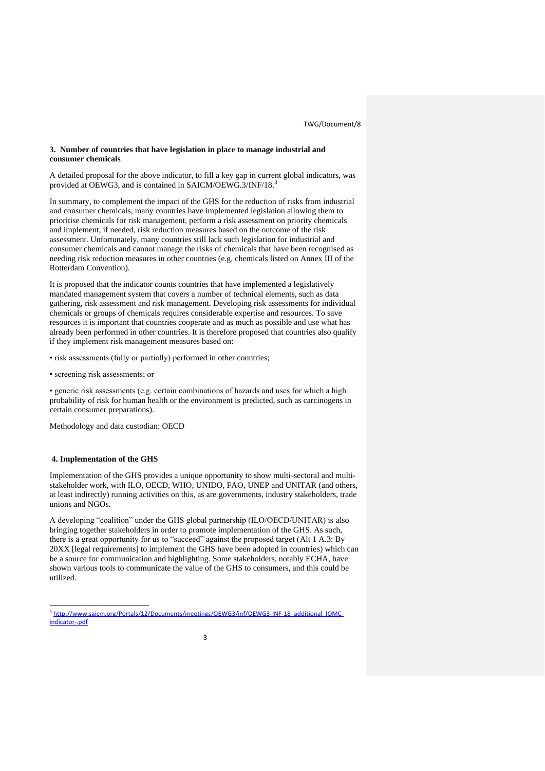## **3. Number of countries that have legislation in place to manage industrial and consumer chemicals**

A detailed proposal for the above indicator, to fill a key gap in current global indicators, was provided at OEWG3, and is contained in SAICM/OEWG.3/INF/18.<sup>3</sup>

In summary, to complement the impact of the GHS for the reduction of risks from industrial and consumer chemicals, many countries have implemented legislation allowing them to prioritise chemicals for risk management, perform a risk assessment on priority chemicals and implement, if needed, risk reduction measures based on the outcome of the risk assessment. Unfortunately, many countries still lack such legislation for industrial and consumer chemicals and cannot manage the risks of chemicals that have been recognised as needing risk reduction measures in other countries (e.g. chemicals listed on Annex III of the Rotterdam Convention).

It is proposed that the indicator counts countries that have implemented a legislatively mandated management system that covers a number of technical elements, such as data gathering, risk assessment and risk management. Developing risk assessments for individual chemicals or groups of chemicals requires considerable expertise and resources. To save resources it is important that countries cooperate and as much as possible and use what has already been performed in other countries. It is therefore proposed that countries also qualify if they implement risk management measures based on:

• risk assessments (fully or partially) performed in other countries;

• screening risk assessments; or

• generic risk assessments (e.g. certain combinations of hazards and uses for which a high probability of risk for human health or the environment is predicted, such as carcinogens in certain consumer preparations).

Methodology and data custodian: OECD

# **4. Implementation of the GHS**

Implementation of the GHS provides a unique opportunity to show multi-sectoral and multistakeholder work, with ILO, OECD, WHO, UNIDO, FAO, UNEP and UNITAR (and others, at least indirectly) running activities on this, as are governments, industry stakeholders, trade unions and NGOs.

A developing "coalition" under the GHS global partnership (ILO/OECD/UNITAR) is also bringing together stakeholders in order to promote implementation of the GHS. As such, there is a great opportunity for us to "succeed" against the proposed target (Alt 1 A.3: By 20XX [legal requirements] to implement the GHS have been adopted in countries) which can be a source for communication and highlighting. Some stakeholders, notably ECHA, have shown various tools to communicate the value of the GHS to consumers, and this could be utilized.

<sup>3</sup> http://www.saicm.org/Portals/12/Documents/meetings/OEWG3/inf/OEWG3-INF-18 additional IOMC[indicator-.pdf](http://www.saicm.org/Portals/12/Documents/meetings/OEWG3/inf/OEWG3-INF-18_additional_IOMC-indicator-.pdf)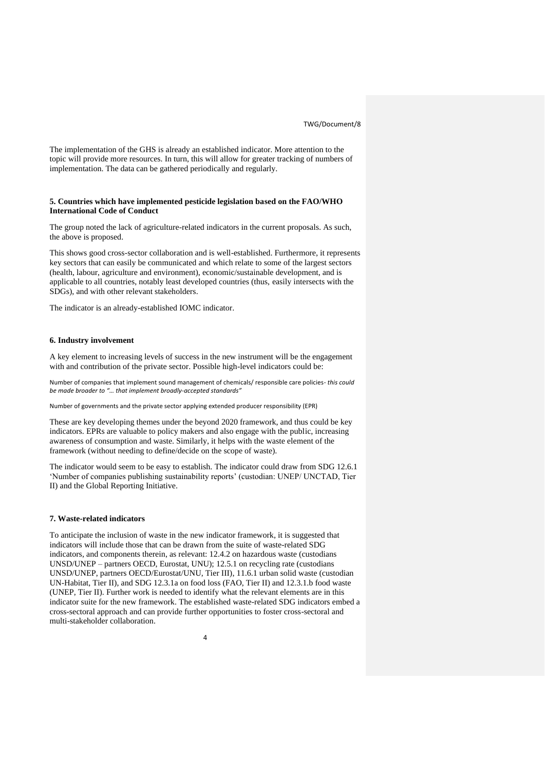The implementation of the GHS is already an established indicator. More attention to the topic will provide more resources. In turn, this will allow for greater tracking of numbers of implementation. The data can be gathered periodically and regularly.

# **5. Countries which have implemented pesticide legislation based on the FAO/WHO International Code of Conduct**

The group noted the lack of agriculture-related indicators in the current proposals. As such, the above is proposed.

This shows good cross-sector collaboration and is well-established. Furthermore, it represents key sectors that can easily be communicated and which relate to some of the largest sectors (health, labour, agriculture and environment), economic/sustainable development, and is applicable to all countries, notably least developed countries (thus, easily intersects with the SDGs), and with other relevant stakeholders.

The indicator is an already-established IOMC indicator.

#### **6. Industry involvement**

A key element to increasing levels of success in the new instrument will be the engagement with and contribution of the private sector. Possible high-level indicators could be:

Number of companies that implement sound management of chemicals/ responsible care policies- *this could be made broader to "… that implement broadly-accepted standards"*

Number of governments and the private sector applying extended producer responsibility (EPR)

These are key developing themes under the beyond 2020 framework, and thus could be key indicators. EPRs are valuable to policy makers and also engage with the public, increasing awareness of consumption and waste. Similarly, it helps with the waste element of the framework (without needing to define/decide on the scope of waste).

The indicator would seem to be easy to establish. The indicator could draw from SDG 12.6.1 'Number of companies publishing sustainability reports' (custodian: UNEP/ UNCTAD, Tier II) and the Global Reporting Initiative.

## **7. Waste-related indicators**

To anticipate the inclusion of waste in the new indicator framework, it is suggested that indicators will include those that can be drawn from the suite of waste-related SDG indicators, and components therein, as relevant: 12.4.2 on hazardous waste (custodians UNSD/UNEP – partners OECD, Eurostat, UNU); 12.5.1 on recycling rate (custodians UNSD/UNEP, partners OECD/Eurostat/UNU, Tier III), 11.6.1 urban solid waste (custodian UN-Habitat, Tier II), and SDG 12.3.1a on food loss (FAO, Tier II) and 12.3.1.b food waste (UNEP, Tier II). Further work is needed to identify what the relevant elements are in this indicator suite for the new framework. The established waste-related SDG indicators embed a cross-sectoral approach and can provide further opportunities to foster cross-sectoral and multi-stakeholder collaboration.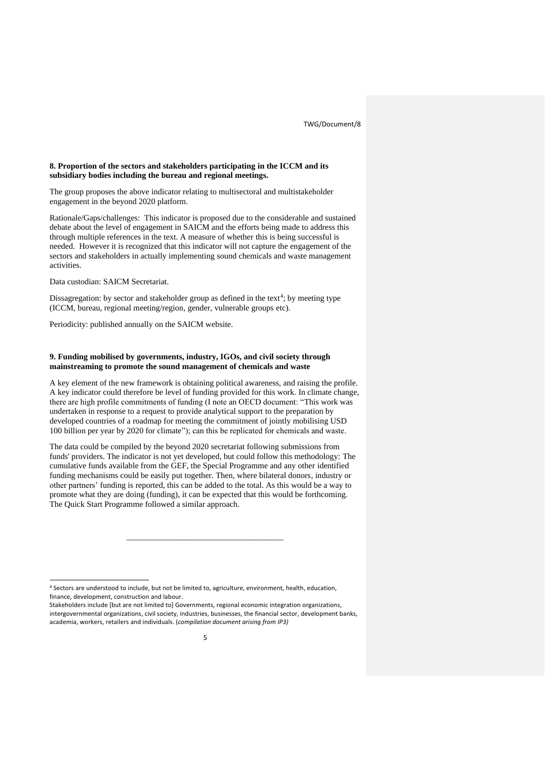### **8. Proportion of the sectors and stakeholders participating in the ICCM and its subsidiary bodies including the bureau and regional meetings.**

The group proposes the above indicator relating to multisectoral and multistakeholder engagement in the beyond 2020 platform.

Rationale/Gaps/challenges: This indicator is proposed due to the considerable and sustained debate about the level of engagement in SAICM and the efforts being made to address this through multiple references in the text. A measure of whether this is being successful is needed. However it is recognized that this indicator will not capture the engagement of the sectors and stakeholders in actually implementing sound chemicals and waste management activities.

Data custodian: SAICM Secretariat.

Dissagregation: by sector and stakeholder group as defined in the text<sup>4</sup>; by meeting type (ICCM, bureau, regional meeting/region, gender, vulnerable groups etc).

Periodicity: published annually on the SAICM website.

## **9. Funding mobilised by governments, industry, IGOs, and civil society through mainstreaming to promote the sound management of chemicals and waste**

A key element of the new framework is obtaining political awareness, and raising the profile. A key indicator could therefore be level of funding provided for this work. In climate change, there are high profile commitments of funding (I note an OECD document: "This work was undertaken in response to a request to provide analytical support to the preparation by developed countries of a roadmap for meeting the commitment of jointly mobilising USD 100 billion per year by 2020 for climate"); can this be replicated for chemicals and waste.

The data could be compiled by the beyond 2020 secretariat following submissions from funds' providers. The indicator is not yet developed, but could follow this methodology: The cumulative funds available from the GEF, the Special Programme and any other identified funding mechanisms could be easily put together. Then, where bilateral donors, industry or other partners' funding is reported, this can be added to the total. As this would be a way to promote what they are doing (funding), it can be expected that this would be forthcoming. The Quick Start Programme followed a similar approach.

\_\_\_\_\_\_\_\_\_\_\_\_\_\_\_\_\_\_\_\_\_\_\_\_\_\_\_\_\_\_\_\_\_\_\_\_\_\_

<sup>4</sup> Sectors are understood to include, but not be limited to, agriculture, environment, health, education, finance, development, construction and labour.

Stakeholders include [but are not limited to] Governments, regional economic integration organizations, intergovernmental organizations, civil society, industries, businesses, the financial sector, development banks, academia, workers, retailers and individuals. (*compilation document arising from IP3)*